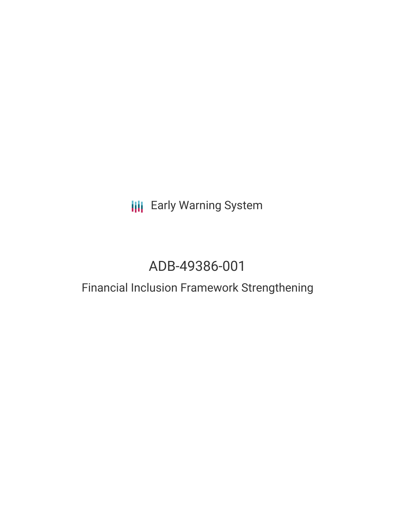# **III** Early Warning System

# ADB-49386-001

### Financial Inclusion Framework Strengthening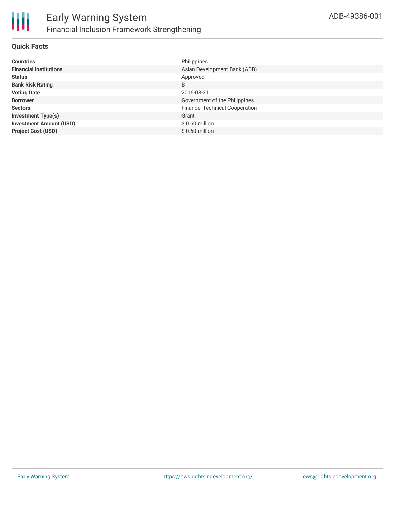

### **Quick Facts**

| <b>Countries</b>               | Philippines                    |
|--------------------------------|--------------------------------|
| <b>Financial Institutions</b>  | Asian Development Bank (ADB)   |
| <b>Status</b>                  | Approved                       |
| <b>Bank Risk Rating</b>        | B                              |
| <b>Voting Date</b>             | 2016-08-31                     |
| <b>Borrower</b>                | Government of the Philippines  |
| <b>Sectors</b>                 | Finance, Technical Cooperation |
| <b>Investment Type(s)</b>      | Grant                          |
| <b>Investment Amount (USD)</b> | $$0.60$ million                |
| <b>Project Cost (USD)</b>      | $$0.60$ million                |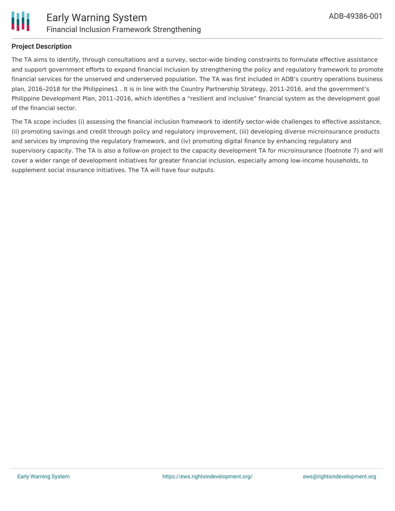

#### **Project Description**

The TA aims to identify, through consultations and a survey, sector-wide binding constraints to formulate effective assistance and support government efforts to expand financial inclusion by strengthening the policy and regulatory framework to promote financial services for the unserved and underserved population. The TA was first included in ADB's country operations business plan, 2016–2018 for the Philippines1 . It is in line with the Country Partnership Strategy, 2011-2016, and the government's Philippine Development Plan, 2011–2016, which identifies a "resilient and inclusive" financial system as the development goal of the financial sector.

The TA scope includes (i) assessing the financial inclusion framework to identify sector-wide challenges to effective assistance, (ii) promoting savings and credit through policy and regulatory improvement, (iii) developing diverse microinsurance products and services by improving the regulatory framework, and (iv) promoting digital finance by enhancing regulatory and supervisory capacity. The TA is also a follow-on project to the capacity development TA for microinsurance (footnote 7) and will cover a wider range of development initiatives for greater financial inclusion, especially among low-income households, to supplement social insurance initiatives. The TA will have four outputs.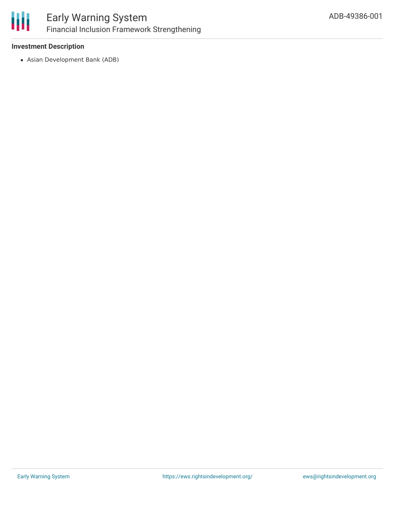

### **Investment Description**

Asian Development Bank (ADB)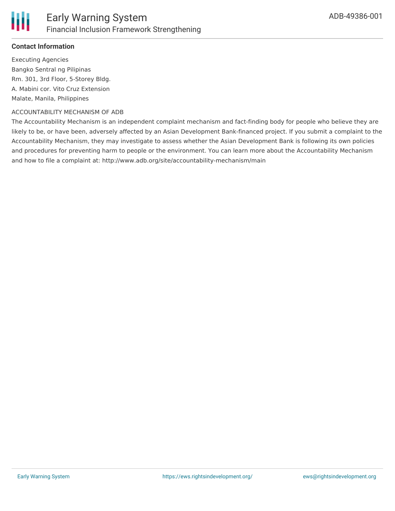

### **Contact Information**

Executing Agencies Bangko Sentral ng Pilipinas Rm. 301, 3rd Floor, 5-Storey Bldg. A. Mabini cor. Vito Cruz Extension Malate, Manila, Philippines

#### ACCOUNTABILITY MECHANISM OF ADB

The Accountability Mechanism is an independent complaint mechanism and fact-finding body for people who believe they are likely to be, or have been, adversely affected by an Asian Development Bank-financed project. If you submit a complaint to the Accountability Mechanism, they may investigate to assess whether the Asian Development Bank is following its own policies and procedures for preventing harm to people or the environment. You can learn more about the Accountability Mechanism and how to file a complaint at: http://www.adb.org/site/accountability-mechanism/main